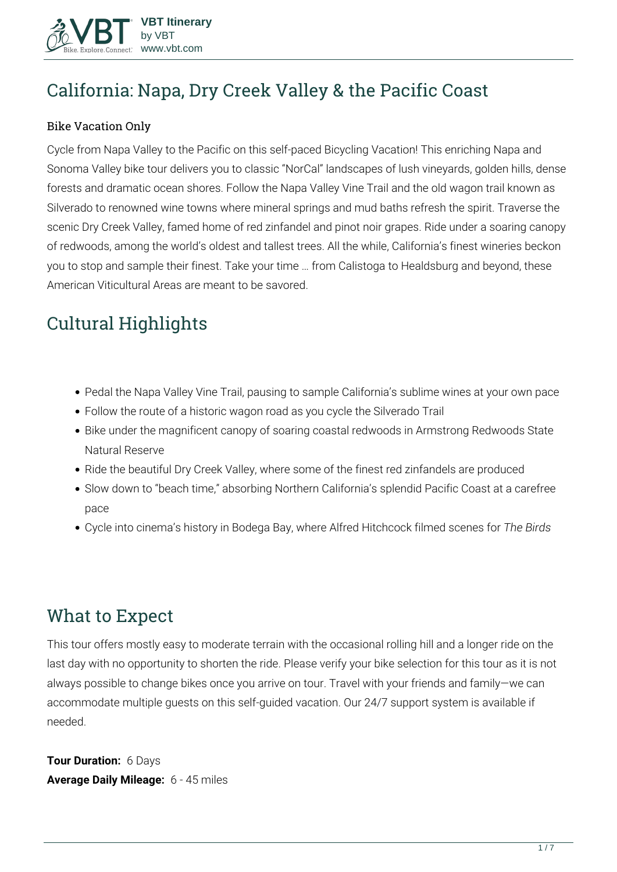

# **California: Napa, Dry Creek Valley & the Pacific Coast**

#### Bike Vacation Only

Cycle from Napa Valley to the Pacific on this self-paced Bicycling Vacation! This enriching Napa and Sonoma Valley bike tour delivers you to classic "NorCal" landscapes of lush vineyards, golden hills, dense forests and dramatic ocean shores. Follow the Napa Valley Vine Trail and the old wagon trail known as Silverado to renowned wine towns where mineral springs and mud baths refresh the spirit. Traverse the scenic Dry Creek Valley, famed home of red zinfandel and pinot noir grapes. Ride under a soaring canopy of redwoods, among the world's oldest and tallest trees. All the while, California's finest wineries beckon you to stop and sample their finest. Take your time … from Calistoga to Healdsburg and beyond, these American Viticultural Areas are meant to be savored.

# **Cultural Highlights**

- Pedal the Napa Valley Vine Trail, pausing to sample California's sublime wines at your own pace
- Follow the route of a historic wagon road as you cycle the Silverado Trail
- Bike under the magnificent canopy of soaring coastal redwoods in Armstrong Redwoods State Natural Reserve
- Ride the beautiful Dry Creek Valley, where some of the finest red zinfandels are produced
- Slow down to "beach time," absorbing Northern California's splendid Pacific Coast at a carefree pace
- Cycle into cinema's history in Bodega Bay, where Alfred Hitchcock filmed scenes for *The Birds*

## **What to Expect**

This tour offers mostly easy to moderate terrain with the occasional rolling hill and a longer ride on the last day with no opportunity to shorten the ride. Please verify your bike selection for this tour as it is not always possible to change bikes once you arrive on tour. Travel with your friends and family—we can accommodate multiple guests on this self-guided vacation. Our 24/7 support system is available if needed.

**Tour Duration:** 6 Days **Average Daily Mileage:** 6 - 45 miles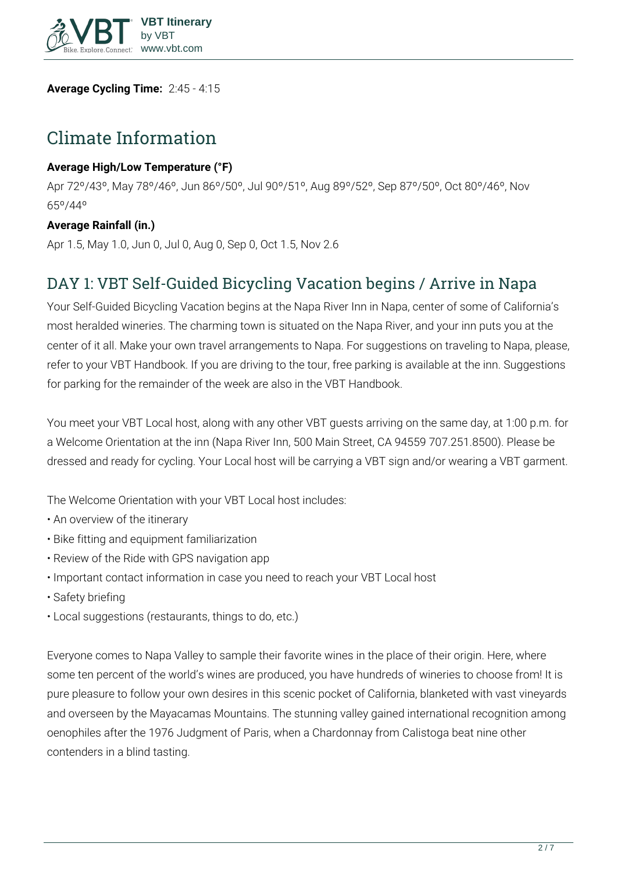

**Average Cycling Time:** 2:45 - 4:15

## **Climate Information**

#### **Average High/Low Temperature (°F)**

Apr 72º/43º, May 78º/46º, Jun 86º/50º, Jul 90º/51º, Aug 89º/52º, Sep 87º/50º, Oct 80º/46º, Nov 65º/44º

#### **Average Rainfall (in.)**

Apr 1.5, May 1.0, Jun 0, Jul 0, Aug 0, Sep 0, Oct 1.5, Nov 2.6

## **DAY 1: VBT Self-Guided Bicycling Vacation begins / Arrive in Napa**

Your Self-Guided Bicycling Vacation begins at the Napa River Inn in Napa, center of some of California's most heralded wineries. The charming town is situated on the Napa River, and your inn puts you at the center of it all. Make your own travel arrangements to Napa. For suggestions on traveling to Napa, please, refer to your VBT Handbook. If you are driving to the tour, free parking is available at the inn. Suggestions for parking for the remainder of the week are also in the VBT Handbook.

You meet your VBT Local host, along with any other VBT guests arriving on the same day, at 1:00 p.m. for a Welcome Orientation at the inn (Napa River Inn, 500 Main Street, CA 94559 707.251.8500). Please be dressed and ready for cycling. Your Local host will be carrying a VBT sign and/or wearing a VBT garment.

The Welcome Orientation with your VBT Local host includes:

- An overview of the itinerary
- Bike fitting and equipment familiarization
- Review of the Ride with GPS navigation app
- Important contact information in case you need to reach your VBT Local host
- Safety briefing
- Local suggestions (restaurants, things to do, etc.)

Everyone comes to Napa Valley to sample their favorite wines in the place of their origin. Here, where some ten percent of the world's wines are produced, you have hundreds of wineries to choose from! It is pure pleasure to follow your own desires in this scenic pocket of California, blanketed with vast vineyards and overseen by the Mayacamas Mountains. The stunning valley gained international recognition among oenophiles after the 1976 Judgment of Paris, when a Chardonnay from Calistoga beat nine other contenders in a blind tasting.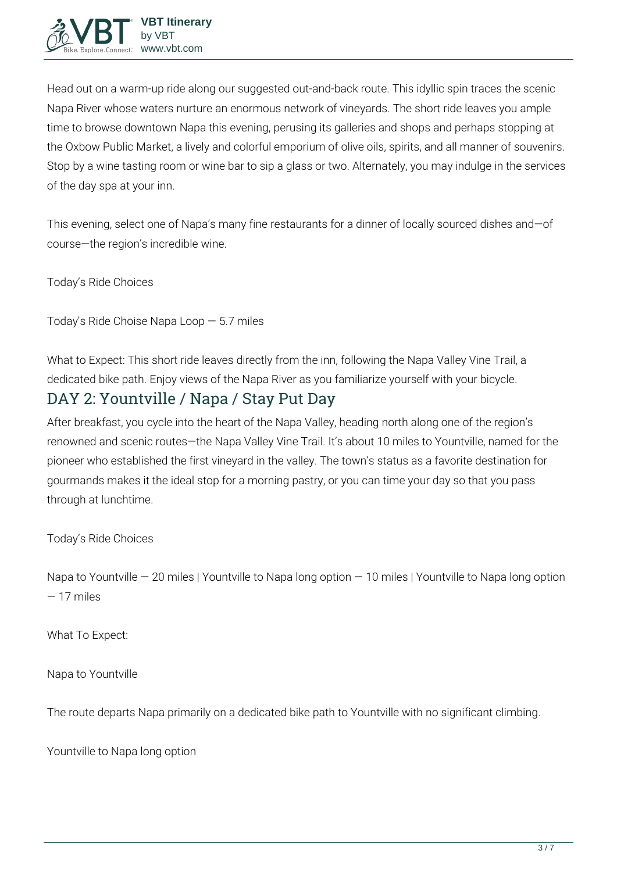Head out on a warm-up ride along our suggested out-and-back route. This idyllic spin traces the scenic Napa River whose waters nurture an enormous network of vineyards. The short ride leaves you ample time to browse downtown Napa this evening, perusing its galleries and shops and perhaps stopping at the Oxbow Public Market, a lively and colorful emporium of olive oils, spirits, and all manner of souvenirs. Stop by a wine tasting room or wine bar to sip a glass or two. Alternately, you may indulge in the services of the day spa at your inn.

This evening, select one of Napa's many fine restaurants for a dinner of locally sourced dishes and—of course—the region's incredible wine.

**Today's Ride Choices**

**Today's Ride Choise** Napa Loop — 5.7 miles

**What to Expect:** This short ride leaves directly from the inn, following the Napa Valley Vine Trail, a dedicated bike path. Enjoy views of the Napa River as you familiarize yourself with your bicycle.

# **DAY 2: Yountville / Napa / Stay Put Day**

After breakfast, you cycle into the heart of the Napa Valley, heading north along one of the region's renowned and scenic routes—the Napa Valley Vine Trail. It's about 10 miles to Yountville, named for the pioneer who established the first vineyard in the valley. The town's status as a favorite destination for gourmands makes it the ideal stop for a morning pastry, or you can time your day so that you pass through at lunchtime.

**Today's Ride Choices**

Napa to Yountville — 20 miles | Yountville to Napa long option — 10 miles | Yountville to Napa long option — 17 miles

**What To Expect:**

**Napa to Yountville**

The route departs Napa primarily on a dedicated bike path to Yountville with no significant climbing.

**Yountville to Napa long option**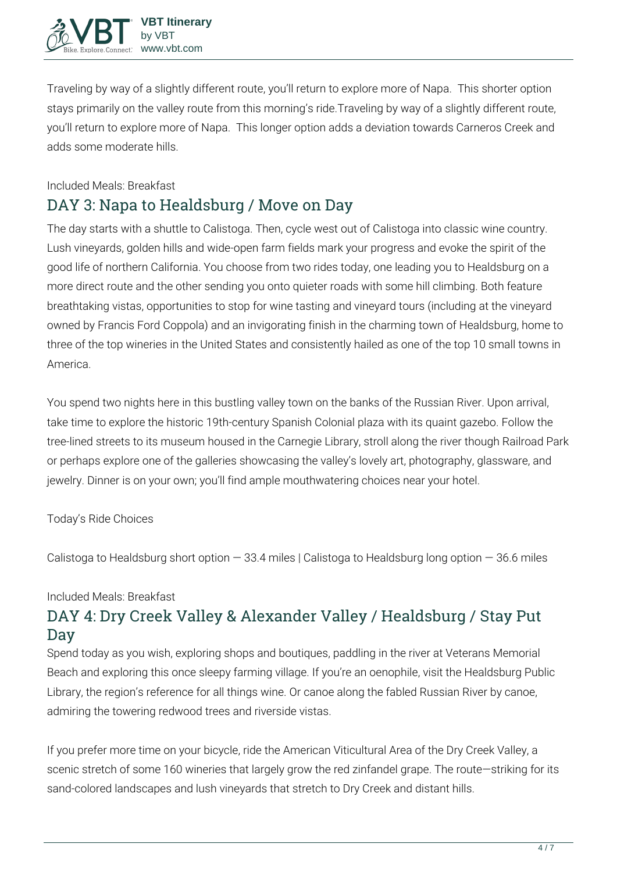Traveling by way of a slightly different route, you'll return to explore more of Napa. This shorter option stays primarily on the valley route from this morning's ride.Traveling by way of a slightly different route, you'll return to explore more of Napa. This longer option adds a deviation towards Carneros Creek and adds some moderate hills.

#### **Included Meals:** Breakfast

## **DAY 3: Napa to Healdsburg / Move on Day**

The day starts with a shuttle to Calistoga. Then, cycle west out of Calistoga into classic wine country. Lush vineyards, golden hills and wide-open farm fields mark your progress and evoke the spirit of the good life of northern California. You choose from two rides today, one leading you to Healdsburg on a more direct route and the other sending you onto quieter roads with some hill climbing. Both feature breathtaking vistas, opportunities to stop for wine tasting and vineyard tours (including at the vineyard owned by Francis Ford Coppola) and an invigorating finish in the charming town of Healdsburg, home to three of the top wineries in the United States and consistently hailed as one of the top 10 small towns in America.

You spend two nights here in this bustling valley town on the banks of the Russian River. Upon arrival, take time to explore the historic 19th-century Spanish Colonial plaza with its quaint gazebo. Follow the tree-lined streets to its museum housed in the Carnegie Library, stroll along the river though Railroad Park or perhaps explore one of the galleries showcasing the valley's lovely art, photography, glassware, and jewelry. Dinner is on your own; you'll find ample mouthwatering choices near your hotel.

#### **Today's Ride Choices**

Calistoga to Healdsburg short option  $-33.4$  miles | Calistoga to Healdsburg long option  $-36.6$  miles

#### **Included Meals:** Breakfast

## **DAY 4: Dry Creek Valley & Alexander Valley / Healdsburg / Stay Put Day**

Spend today as you wish, exploring shops and boutiques, paddling in the river at Veterans Memorial Beach and exploring this once sleepy farming village. If you're an oenophile, visit the Healdsburg Public Library, the region's reference for all things wine. Or canoe along the fabled Russian River by canoe, admiring the towering redwood trees and riverside vistas.

If you prefer more time on your bicycle, ride the American Viticultural Area of the Dry Creek Valley, a scenic stretch of some 160 wineries that largely grow the red zinfandel grape. The route—striking for its sand-colored landscapes and lush vineyards that stretch to Dry Creek and distant hills.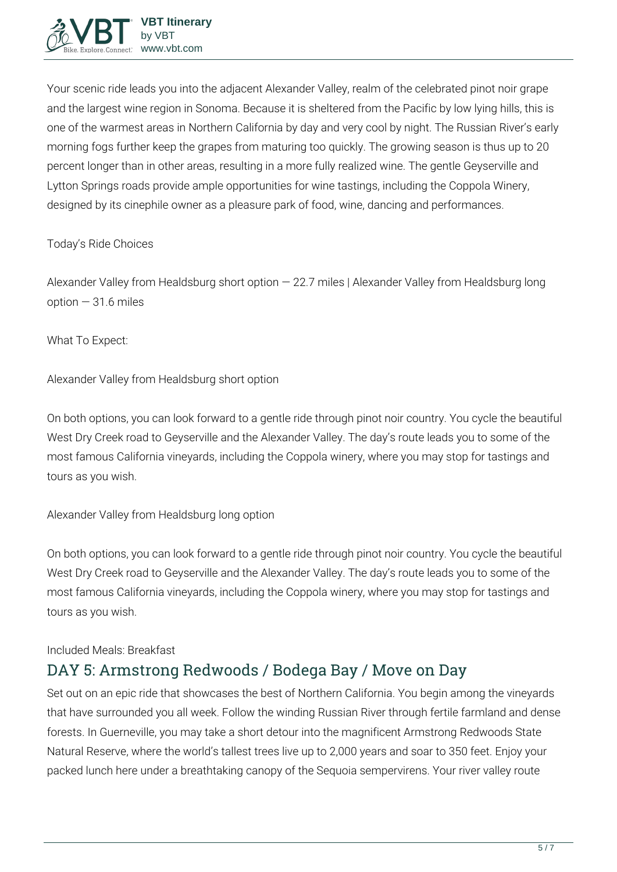

Your scenic ride leads you into the adjacent Alexander Valley, realm of the celebrated pinot noir grape and the largest wine region in Sonoma. Because it is sheltered from the Pacific by low lying hills, this is one of the warmest areas in Northern California by day and very cool by night. The Russian River's early morning fogs further keep the grapes from maturing too quickly. The growing season is thus up to 20 percent longer than in other areas, resulting in a more fully realized wine. The gentle Geyserville and Lytton Springs roads provide ample opportunities for wine tastings, including the Coppola Winery, designed by its cinephile owner as a pleasure park of food, wine, dancing and performances.

#### **Today's Ride Choices**

Alexander Valley from Healdsburg short option — 22.7 miles | Alexander Valley from Healdsburg long  $option - 31.6 miles$ 

**What To Expect:**

**Alexander Valley from Healdsburg short option**

On both options, you can look forward to a gentle ride through pinot noir country. You cycle the beautiful West Dry Creek road to Geyserville and the Alexander Valley. The day's route leads you to some of the most famous California vineyards, including the Coppola winery, where you may stop for tastings and tours as you wish.

#### **Alexander Valley from Healdsburg long option**

On both options, you can look forward to a gentle ride through pinot noir country. You cycle the beautiful West Dry Creek road to Geyserville and the Alexander Valley. The day's route leads you to some of the most famous California vineyards, including the Coppola winery, where you may stop for tastings and tours as you wish.

#### **Included Meals:** Breakfast

### **DAY 5: Armstrong Redwoods / Bodega Bay / Move on Day**

Set out on an epic ride that showcases the best of Northern California. You begin among the vineyards that have surrounded you all week. Follow the winding Russian River through fertile farmland and dense forests. In Guerneville, you may take a short detour into the magnificent Armstrong Redwoods State Natural Reserve, where the world's tallest trees live up to 2,000 years and soar to 350 feet. Enjoy your packed lunch here under a breathtaking canopy of the Sequoia sempervirens. Your river valley route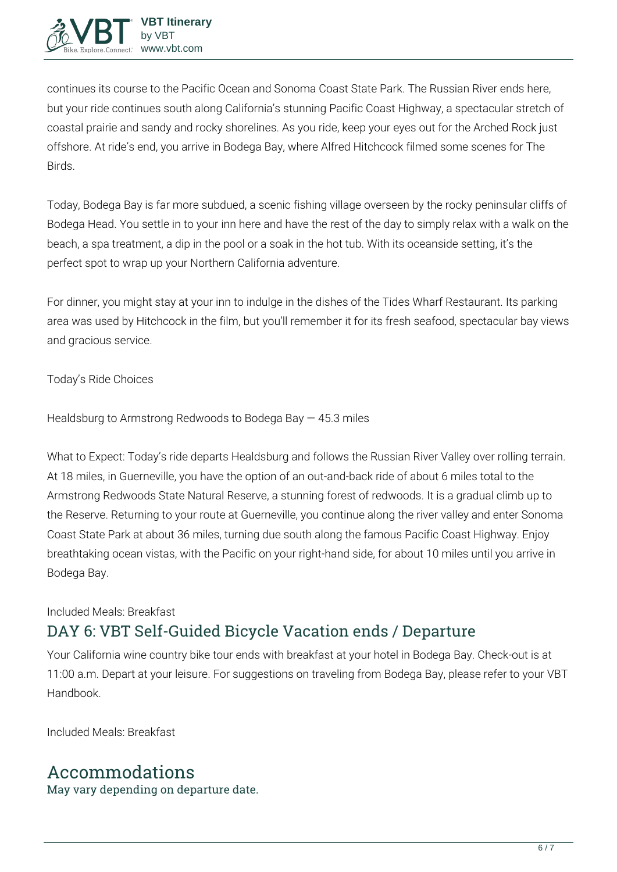

continues its course to the Pacific Ocean and Sonoma Coast State Park. The Russian River ends here, but your ride continues south along California's stunning Pacific Coast Highway, a spectacular stretch of coastal prairie and sandy and rocky shorelines. As you ride, keep your eyes out for the Arched Rock just offshore. At ride's end, you arrive in Bodega Bay, where Alfred Hitchcock filmed some scenes for The Birds.

Today, Bodega Bay is far more subdued, a scenic fishing village overseen by the rocky peninsular cliffs of Bodega Head. You settle in to your inn here and have the rest of the day to simply relax with a walk on the beach, a spa treatment, a dip in the pool or a soak in the hot tub. With its oceanside setting, it's the perfect spot to wrap up your Northern California adventure.

For dinner, you might stay at your inn to indulge in the dishes of the Tides Wharf Restaurant. Its parking area was used by Hitchcock in the film, but you'll remember it for its fresh seafood, spectacular bay views and gracious service.

**Today's Ride Choices**

Healdsburg to Armstrong Redwoods to Bodega Bay — 45.3 miles

**What to Expect:** Today's ride departs Healdsburg and follows the Russian River Valley over rolling terrain. At 18 miles, in Guerneville, you have the option of an out-and-back ride of about 6 miles total to the Armstrong Redwoods State Natural Reserve, a stunning forest of redwoods. It is a gradual climb up to the Reserve. Returning to your route at Guerneville, you continue along the river valley and enter Sonoma Coast State Park at about 36 miles, turning due south along the famous Pacific Coast Highway. Enjoy breathtaking ocean vistas, with the Pacific on your right-hand side, for about 10 miles until you arrive in Bodega Bay.

#### **Included Meals:** Breakfast

## **DAY 6: VBT Self-Guided Bicycle Vacation ends / Departure**

Your California wine country bike tour ends with breakfast at your hotel in Bodega Bay. Check-out is at 11:00 a.m. Depart at your leisure. For suggestions on traveling from Bodega Bay, please refer to your VBT Handbook.

**Included Meals:** Breakfast

## **Accommodations**

May vary depending on departure date.